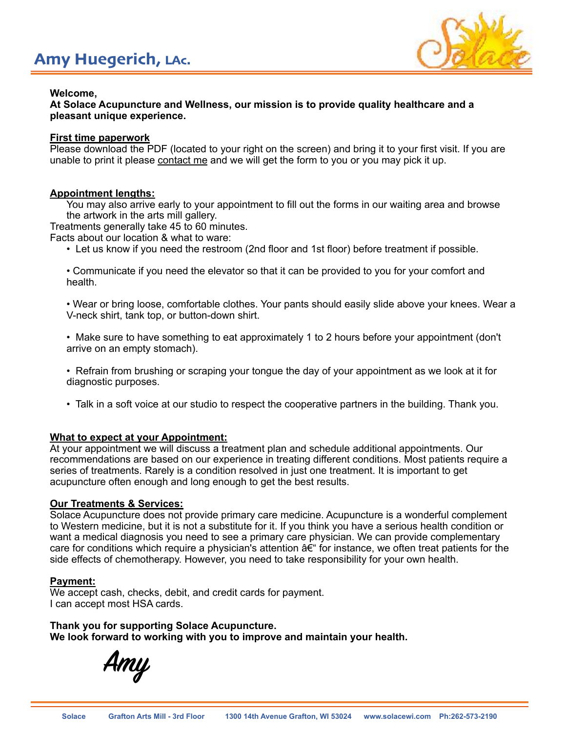

# **Welcome,**

**At Solace Acupuncture and Wellness, our mission is to provide quality healthcare and a pleasant unique experience.**

## **First time paperwork**

Please download the PDF (located to your right on the screen) and bring it to your first visit. If you are unable to print it please contact me and we will get the form to you or you may pick it up.

# **Appointment lengths:**

You may also arrive early to your appointment to fill out the forms in our waiting area and browse the artwork in the arts mill gallery.

Treatments generally take 45 to 60 minutes.

Facts about our location & what to ware:

• Let us know if you need the restroom (2nd floor and 1st floor) before treatment if possible.

 • Communicate if you need the elevator so that it can be provided to you for your comfort and health.

 • Wear or bring loose, comfortable clothes. Your pants should easily slide above your knees. Wear a V-neck shirt, tank top, or button-down shirt.

 • Make sure to have something to eat approximately 1 to 2 hours before your appointment (don't arrive on an empty stomach).

 • Refrain from brushing or scraping your tongue the day of your appointment as we look at it for diagnostic purposes.

• Talk in a soft voice at our studio to respect the cooperative partners in the building. Thank you.

### **What to expect at your Appointment:**

At your appointment we will discuss a treatment plan and schedule additional appointments. Our recommendations are based on our experience in treating different conditions. Most patients require a series of treatments. Rarely is a condition resolved in just one treatment. It is important to get acupuncture often enough and long enough to get the best results.

### **Our Treatments & Services:**

Solace Acupuncture does not provide primary care medicine. Acupuncture is a wonderful complement to Western medicine, but it is not a substitute for it. If you think you have a serious health condition or want a medical diagnosis you need to see a primary care physician. We can provide complementary care for conditions which require a physician's attention â€" for instance, we often treat patients for the side effects of chemotherapy. However, you need to take responsibility for your own health.

### **Payment:**

We accept cash, checks, debit, and credit cards for payment. I can accept most HSA cards.

**Thank you for supporting Solace Acupuncture. We look forward to working with you to improve and maintain your health.**

**Amy**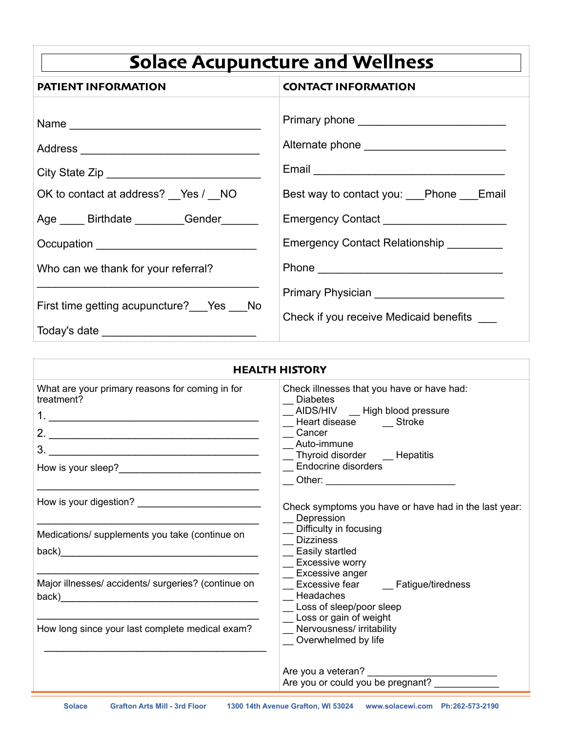| <b>Solace Acupuncture and Wellness</b>      |                                          |  |
|---------------------------------------------|------------------------------------------|--|
| <b>PATIENT INFORMATION</b>                  | <b>CONTACT INFORMATION</b>               |  |
|                                             |                                          |  |
|                                             |                                          |  |
|                                             |                                          |  |
| OK to contact at address? __ Yes / __ NO    | Best way to contact you: Phone Email     |  |
| Age _____ Birthdate _________Gender _______ |                                          |  |
| Occupation ________________________________ | Emergency Contact Relationship _________ |  |
| Who can we thank for your referral?         |                                          |  |
| First time getting acupuncture? Pes No      | Check if you receive Medicaid benefits   |  |
|                                             |                                          |  |
|                                             |                                          |  |

| HEALTH HISTORY                                                                                                                                                                                                                                                                  |                                                                                                                                                                                                                                                                                 |
|---------------------------------------------------------------------------------------------------------------------------------------------------------------------------------------------------------------------------------------------------------------------------------|---------------------------------------------------------------------------------------------------------------------------------------------------------------------------------------------------------------------------------------------------------------------------------|
| What are your primary reasons for coming in for<br>treatment?                                                                                                                                                                                                                   | Check illnesses that you have or have had:<br>Diabetes<br>_AIDS/HIV __ High blood pressure<br>_Heart disease _____ Stroke<br>Cancer<br>Auto-immune<br>_ Thyroid disorder _ Hepatitis<br><b>Endocrine disorders</b><br>__ Other: ___________________________                     |
|                                                                                                                                                                                                                                                                                 | Check symptoms you have or have had in the last year:<br>Depression                                                                                                                                                                                                             |
| Medications/ supplements you take (continue on<br>back) and the contract of the contract of the contract of the contract of the contract of the contract of the contract of the contract of the contract of the contract of the contract of the contract of the contract of the | _ Difficulty in focusing<br><b>Dizziness</b><br>_ Easily startled<br><b>Excessive worry</b><br>Excessive anger<br>Excessive fear _____ Fatigue/tiredness<br>Headaches<br>Loss of sleep/poor sleep<br>Loss or gain of weight<br>Nervousness/ irritability<br>Overwhelmed by life |
| Major illnesses/ accidents/ surgeries? (continue on                                                                                                                                                                                                                             |                                                                                                                                                                                                                                                                                 |
| How long since your last complete medical exam?                                                                                                                                                                                                                                 |                                                                                                                                                                                                                                                                                 |
|                                                                                                                                                                                                                                                                                 | Are you or could you be pregnant?                                                                                                                                                                                                                                               |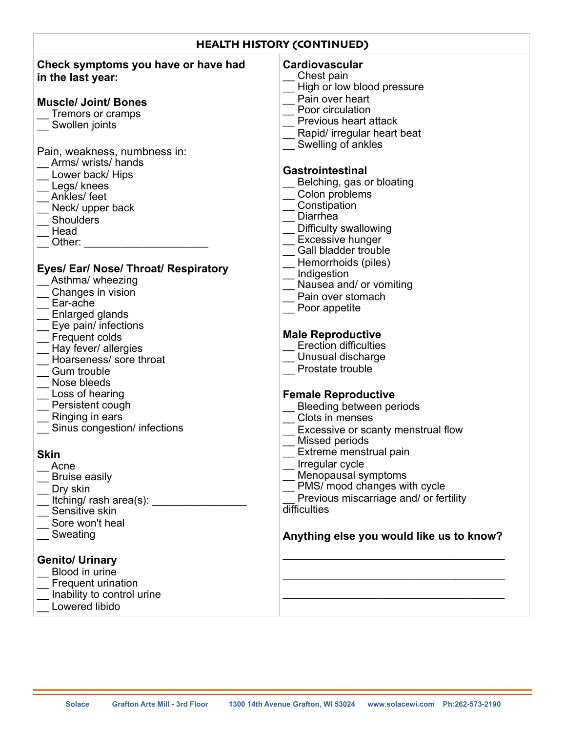| <b>HEALTH HISTORY (CONTINUED)</b>                                                                                                                                                                                                                                               |                                                                                                                                                                                                                                                                                                             |  |
|---------------------------------------------------------------------------------------------------------------------------------------------------------------------------------------------------------------------------------------------------------------------------------|-------------------------------------------------------------------------------------------------------------------------------------------------------------------------------------------------------------------------------------------------------------------------------------------------------------|--|
| Check symptoms you have or have had<br>in the last year:                                                                                                                                                                                                                        | <b>Cardiovascular</b><br>Chest pain<br>High or low blood pressure                                                                                                                                                                                                                                           |  |
| <b>Muscle/ Joint/ Bones</b><br>Tremors or cramps<br>Swollen joints                                                                                                                                                                                                              | Pain over heart<br>Poor circulation<br>Previous heart attack<br>Rapid/ irregular heart beat                                                                                                                                                                                                                 |  |
| Pain, weakness, numbness in:<br>Arms/ wrists/ hands<br>Lower back/ Hips<br>Legs/ knees<br>Ankles/feet<br>Neck/ upper back<br><b>Shoulders</b><br>Head<br>Other:<br>Eyes/ Ear/ Nose/ Throat/ Respiratory<br>Asthma/ wheezing<br>Changes in vision<br>Ear-ache<br>Enlarged glands | Swelling of ankles<br><b>Gastrointestinal</b><br>Belching, gas or bloating<br>Colon problems<br>Constipation<br>Diarrhea<br>Difficulty swallowing<br><b>Excessive hunger</b><br>Gall bladder trouble<br>Hemorrhoids (piles)<br>Indigestion<br>Nausea and/ or vomiting<br>Pain over stomach<br>Poor appetite |  |
| Eye pain/ infections<br>Frequent colds<br>Hay fever/ allergies<br>Hoarseness/ sore throat<br><b>Gum trouble</b><br>Nose bleeds                                                                                                                                                  | <b>Male Reproductive</b><br><b>Erection difficulties</b><br>Unusual discharge<br>Prostate trouble                                                                                                                                                                                                           |  |
| Loss of hearing<br>Persistent cough<br>Ringing in ears<br>Sinus congestion/ infections<br><b>Skin</b>                                                                                                                                                                           | <b>Female Reproductive</b><br>Bleeding between periods<br>Clots in menses<br>Excessive or scanty menstrual flow<br>Missed periods<br>Extreme menstrual pain                                                                                                                                                 |  |
| Acne<br><b>Bruise easily</b><br>Dry skin<br>Itching/ rash area(s):<br>Sensitive skin<br>Sore won't heal<br>Sweating                                                                                                                                                             | Irregular cycle<br>Menopausal symptoms<br>PMS/ mood changes with cycle<br>Previous miscarriage and/ or fertility<br>difficulties<br>Anything else you would like us to know?                                                                                                                                |  |
| <b>Genito/ Urinary</b><br>Blood in urine<br>Frequent urination<br>Inability to control urine<br>Lowered libido                                                                                                                                                                  |                                                                                                                                                                                                                                                                                                             |  |